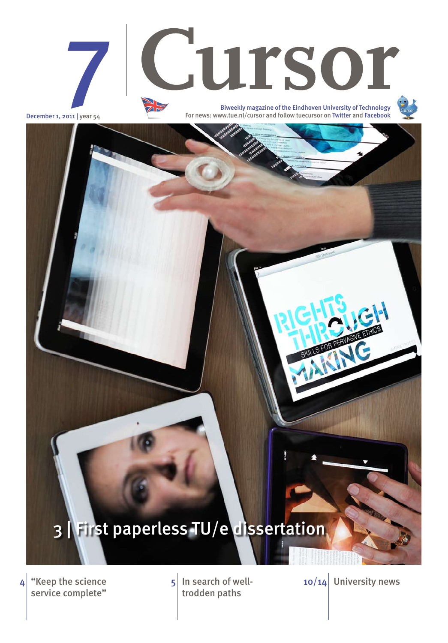"Keep the science service complete"  $4 \times 4$  "Keep the science  $1 \times 5$  In search of well-

trodden paths

 $10/14$  University news





December 1, 2011 | year 54

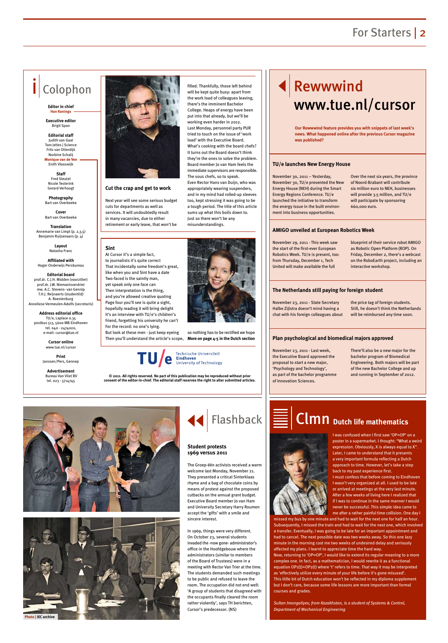### For Starters | 2

# Rewwwind www.tue.nl/cursor

# Colophon

#### **Editor in chief Han Konings**

**Executive editor**  Brigit Span

**Editorial staff** Judith van Gaal Tom Jeltes | Science Frits van Otterdijk Norbine Schalij **Monique van de Ven**

Enith Vlooswijk **Staff**  Fred Steutel

Nicole Testerink Gerard Verhoogt

**Photography**  Bart van Overbeeke

**Cover** Bart van Overbeeke

**Translation** Annemarie van Limpt (p. 2,3,5) Benjamin Ruijsenaars (p. 4)

> **Layout** Natasha Franc

**Affiliated with**  Hoger Onderwijs Persbureau

**Editorial board** prof.dr. C.J.H. Midden (voorzitter) prof.dr. J.W. Niemantsverdriet mw. A.C. Stevens- van Gennip T.H.J. Reijnaerts (studentlid) A. Roestenburg Anneliese Vermeulen-Adolfs (secretaris)

**Address editorial office** TU/e, Laplace 0.35 postbus 513, 5600 MB Eindhoven tel. 040 - 2474020, e-mail: cursor@tue.nl

> **Cursor online** www.tue.nl/cursor

**Print** Janssen/Pers, Gennep

**Advertisement** Bureau Van Vliet BV tel. 023 - 5714745



**© 2011. All rights reserved. No part of this publication may be reproduced without prior consent of the editor-in-chief. The editorial staff reserves the right to alter submitted articles.**



November 30, 2011 – Yesterday, November 30, TU/e presented the New Energy House (NEH) during the Smart Energy Regions Conference. TU/e launched the initiative to transform the energy issue in the built environment into business opportunities.

Over the next six years, the province of Noord-Brabant will contribute six million euro to NEH, businesses will provide 3.5 million, and TU/e will participate by sponsoring 660,000 euro.

November 29, 2011 - This week saw the start of the first-ever European Robotics Week. TU/e is present, too: from Thursday, December 1, Tech United will make available the full

blueprint of their service robot AMIGO as Robotic Open Platform (ROP). On Friday, December 2, there's a webcast on the RoboEarth project, including an interactive workshop.

November 23, 2011 - State Secretary Halbe Zijlstra doesn't mind having a chat with his foreign colleagues about

the price tag of foreign students. Still, he doesn't think the Netherlands will be reimbursed any time soon.

November 23, 2011 - Last week, the Executive Board approved the proposal to start a new major, 'Psychology and Technology', as part of the bachelor programme of Innovation Sciences.

There'll also be a new major for the bachelor program of Biomedical Engineering. Both majors will be part of the new Bachelor College and up and running in September of 2012.

### **TU/e launches New Energy House**

### **AMIGO unveiled at European Robotics Week**

### **The Netherlands still paying for foreign student**

### **Plan psychological and biomedical majors approved**

**Our Rewwwind feature provides you with snippets of last week's news. What happened online after the previous Cursor magazine was published?**

> I was confused when I first saw 'OP=OP' on a poster in a supermarket. I thought: "What a weird expression. Obviously, X is always equal to X". Later, I came to understand that it presents a very important formula reflecting a Dutch approach to time. However, let's take a step back to my past experience first. I must confess that before coming to Eindhoven I wasn't very organized at all. I used to be late or arrived at meetings at the very last minute.



After a few weeks of living here I realized that if I was to continue in the same manner I would never be successful. This simple idea came to me after a rather painful time collision. One day I

missed my bus by one minute and had to wait for the next one for half an hour. Subsequently, I missed the train and had to wait for the next one, which involved a transfer. Eventually, I was going to be late for an important appointment and had to cancel. The next possible date was two weeks away. So this one lazy minute in the morning cost me two weeks of undesired delay and seriously affected my plans. I learnt to appreciate time the hard way. Now, returning to 'OP=OP', I would like to extend its regular meaning to a more complex one. In fact, as a mathematician, I would rewrite it as a functional equation OP1(t)=OP2(t) where 't' refers to time. That way it may be interpreted as 'effectively utilize every minute of your life before it's gone misused'. This litlle bit of Dutch education won't be reflected in my diploma supplement but I don't care, because some life lessons are more important than formal courses and grades.

*Sultan Imangaliyev, from Kazakhstan, is a student of Systems & Control, Department of Mechanical Engineering*

# Clmn **Dutch life mathematics**

The Groep-één activists received a warm welcome last Monday, November 21. They presented a critical Sinterklaas rhyme and a bag of chocolate coins by means of protest against the proposed

cutbacks on the annual grant budget. Executive Board member Jo van Ham and University Secretary Harry Roumen accept the 'gifts' with a smile and sincere interest.

In 1969, things were very different. On October 23, several students invaded the -now gone- administrator's office in the Hoofdgebouw where the administrators (similar to members of the Board of Trustees) were in a meeting with Rector Van Trier at the time. The students demanded such meetings to be public and refused to leave the room. The occupation did not end well: 'A group of students that disagreed with the occupants finally cleared the room rather violently', says TH berichten, Cursor's predecessor. (NS)



#### **Student protests 1969 versus 2011**



**Cut the crap and get to work**

Next year will see some serious budget cuts for departments as well as services. It will undoubtedly result in many vacancies, due to either retirement or early leave, that won't be

filled. Thankfully, those left behind will be kept quite busy: apart from the work load of colleagues leaving, there's the imminent Bachelor College. Heaps of energy have been put into that already, but we'll be working even harder in 2012. Last Monday, personnel party PUR tried to touch on the issue of 'work load' with the Executive Board. What's cooking with the board chefs? It turns out the Board doesn't think they're the ones to solve the problem. Board member Jo van Ham feels the immediate supervisors are responsible. The sous chefs, so to speak. Even Rector Hans van Duijn, who was appropriately wearing suspenders, and in my mind had rolled-up sleeves too, kept stressing it was going to be a tough period. The title of this article sums up what this boils down to. Just so there won't be any misunderstandings.



### **Sint**

At Cursor it's a simple fact, to journalists it's quite correct That incidentally some freedom's great, like when you and Sint have a date Two-faced is the saintly man, yet speak only one face can Then interpretation is the thing, and you're allowed creative quoting Page four you'll see is quite a sight, hopefully reading it will bring delight It's an interview with TU/e's children's friend, forgetting his university he can't For the record: no one's lying.

But look at these men - just keep eyeing Then you'll understand the article's scope, **More on page 4-5 in the Dutch section**



so nothing has to be rectified we hope

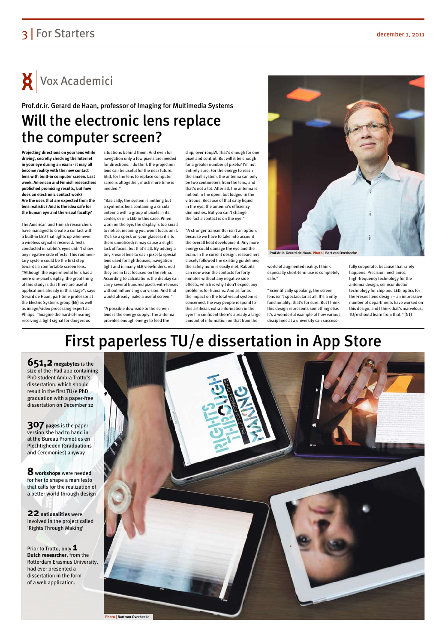## 3 For Starters december 1, 2011

 $\mathsf{X}$  Vox Academici

# First paperless TU/e dissertation in App Store



**651,2 megabytes** is the size of the iPad app containing PhD student Ambra Trotto's dissertation, which should result in the first TU/e PhD graduation with a paper-free dissertation on December 12

**307 pages** is the paper version she had to hand in at the Bureau Promoties en Plechtigheden (Graduations and Ceremonies) anyway

**8 workshops** were needed for her to shape a manifesto that calls for the realization of

a better world through design

**22nationalities** were involved in the project called 'Rights Through Making'

Prior to Trotto, only **1 Dutch researcher**, from the Rotterdam Erasmus University, had ever presented a dissertation in the form of a web application.

**Projecting directions on your lens while driving, secretly checking the Internet in your eye during an exam - it may all become reality with the new contact lens with built-in computer screen. Last week, American and Finnish researchers published promising results, but how does an electronic contact work? Are the uses that are expected from the lens realistic? And is the idea safe for the human eye and the visual faculty?**

The American and Finnish researchers have managed to create a contact with a built-in LED that lights up whenever a wireless signal is received. Tests conducted in rabbit's eyes didn't show any negative side effects. This rudimentary system could be the first step towards a comfortable screen lens. "Although the experimental lens has a mere one-pixel display, the great thing of this study is that there are useful applications already in this stage", says Gerard de Haan, part-time professor at the Electric Systems group (EE) as well as image/video processing expert at Philips. "Imagine the hard-of-hearing receiving a light signal for dangerous

situations behind them. And even for navigation only a few pixels are needed for directions. I do think the projection lens can be useful for the near future. Still, for the lens to replace computer screens altogether, much more time is needed."

"Basically, the system is nothing but a synthetic lens containing a circular antenna with a group of pixels in its center, or in a LED in this case. When worn on the eye, the display is too small to notice, meaning you won't focus on it. It's like a speck on your glasses: it sits there unnoticed; it may cause a slight lack of focus, but that's all. By adding a tiny Fresnel lens to each pixel (a special lens used for lighthouses, navigation light and in many SLR viewfinders, ed.) they are in fact focused on the retina. According to calculations the display can carry several hundred pixels-with-lenses without influencing our vision. And that would already make a useful screen."

# Will the electronic lens replace the computer screen? Prof.dr.ir. Gerard de Haan, professor of Imaging for Multimedia Systems

"A possible downside to the screen lens is the energy supply. The antenna provides enough energy to feed the

chip, over 100µW. That's enough for one pixel and control. But will it be enough for a greater number of pixels? I'm not entirely sure. For the energy to reach the small system, the antenna can only be two centimeters from the lens, and that's not a lot. After all, the antenna is not out in the open, but lodged in the vitreous. Because of that salty liquid in the eye, the antenna's efficiency diminishes. But you can't change the fact a contact is on the eye."

"A stronger transmitter isn't an option, because we have to take into account the overall heat development. Any more energy could damage the eye and the brain. In the current design, researchers closely followed the existing guidelines; the safety norm is easily met. Rabbits can now wear the contacts for forty minutes without any negative side effects, which is why I don't expect any problems for humans. And as far as the impact on the total visual system is concerned, the way people respond to this artificial, extra information in the eye: I'm confident there's already a large amount of information on that from the

world of augmented reality. I think especially short-term use is completely safe."

"Scientifically speaking, the screen lens isn't spectacular at all. It's a nifty functionality, that's for sure. But I think this design represents something else. It's a wonderful example of how various disciplines at a university can success-

fully cooperate, because that rarely happens. Precision mechanics, high-frequency technology for the antenna design, semiconductor technology for chip and LED, optics for the Fresnel lens design – an impressive number of departments have worked on this design, and I think that's marvelous. TU/e should learn from that." (NT)

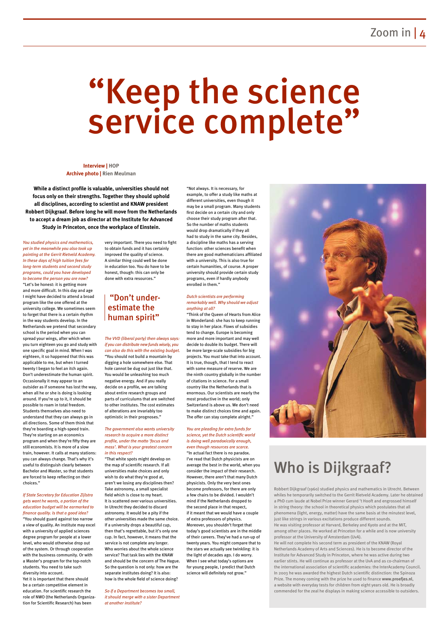# "Keep the science service complete"

*You studied physics and mathematics, yet in the meanwhile you also took up painting at the Gerrit Rietveld Academy. In these days of high tuition fees for long-term students and second study programs, could you have developed to become the person you are now?* "Let's be honest: it is getting more and more difficult. In this day and age I might have decided to attend a broad program like the one offered at the university college. We sometimes seem to forget that there is a certain rhythm in the way students develop. In the Netherlands we pretend that secondary school is the period when you can spread your wings, after which when you turn eighteen you go and study with one specific goal in mind. When I was eighteen, it so happened that this was applicable to me, but when I turned twenty I began to feel an itch again. Don't underestimate the human spirit. Occasionally it may appear to an outsider as if someone has lost the way, when all he or she is doing is looking around. If you're up to it, it should be possible to roam in total freedom. Students themselves also need to understand that they can always go in all directions. Some of them think that they're boarding a high-speed train. They're starting on an economics program and when they're fifty they are still economists. It is more of a slow train, however. It calls at many stations: you can always change. That's why it's useful to distinguish clearly between Bachelor and Master, so that students are forced to keep reflecting on their choices."

*If State Secretary for Education Zijlstra gets want he wants, a portion of the education budget will be earmarked to finance quality. Is that a good idea?*

"You should guard against too narrow a view of quality. An institute may excel with a university of applied sciences degree program for people at a lower level, who would otherwise drop out of the system. Or through cooperation with the business community. Or with a Master's program for the top-notch students. You need to take such diversity into account.

"Not always. It is necessary, for example, to offer a study like maths at different universities, even though it may be a small program. Many students first decide on a certain city and only choose their study program after that. So the number of maths students would drop dramatically if they all had to study in the same city. Besides, a discipline like maths has a serving function: other sciences benefit when there are good mathematicians affiliated with a university. This is also true for certain humanities, of course. A proper university should provide certain study programs, even if hardly anybody enrolled in them."

Yet it is important that there should be a certain competitive element in education. For scientific research the role of NWO (the Netherlands Organization for Scientific Research) has been

very important. There you need to fight to obtain funds and it has certainly improved the quality of science. A similar thing could well be done in education too. You do have to be honest, though: this can only be done with extra resources."

*The VVD (liberal party) then always says: if you can distribute new funds wisely, you can also do this with the existing budget.* "You should not build a mountain by digging a hole somewhere else. That hole cannot be dug out just like that. You would be unleashing too much negative energy. And if you really decide on a profile, we are talking about entire research groups and parts of curriculums that are switched to other institutes. The cost estimates of alterations are invariably too optimistic in their prognoses."

#### *The government also wants university research to acquire a more distinct profile, under the motto 'focus and mass'. What is your greatest concern in this respect?*

"That white spots might develop on the map of scientific research. If all universities make choices and only wish to do what they're good at, aren't we losing any disciplines then? Take astronomy, a small specialist

field which is close to my heart. It is scattered over various universities. In Utrecht they decided to discard astronomy. It would be a pity if the other universities made the same choice. If a university drops a beautiful cup, then that's regrettable, but it's only one cup. In fact, however, it means that the service is not complete any longer. Who worries about the whole science service? That task lies with the KNAW and should be the concern of The Hague. So the question is not only: how are the separate institutes doing? It is also: how is the whole field of science doing?

*So if a Department becomes too small, it should merge with a sister Department at another institute?*

#### *Dutch scientists are performing remarkably well. Why should we adjust anything at all?*

"Think of the Queen of Hearts from Alice in Wonderland: she has to keep running to stay in her place. Flows of subsidies tend to change. Europe is becoming more and more important and may well decide to double its budget. There will be more large-scale subsidies for big projects. You must take that into account. It is true, though, that I tend to react with some measure of reserve. We are the ninth country globally in the number of citations in science. For a small country like the Netherlands that is enormous. Our scientists are nearly the most productive in the world; only Switzerland is above us. We don't need to make distinct choices time and again. The offer can stay complete alright."

#### *You are pleading for extra funds for science, yet the Dutch scientific world is doing well paradoxically enough, even though resources are scarce.* "In actual fact there is no paradox. I've read that Dutch physicists are on average the best in the world, when you consider the impact of their research. However, there aren't that many Dutch physicists. Only the very best ones become professors, for there are only



a few chairs to be divided. I wouldn't mind if the Netherlands dropped to the second place in that respect, if it meant that we would have a couple of extra professors of physics. Moreover, you shouldn't forget that today's good scientists are in the middle of their careers. They've had a run-up of twenty years. You might compare that to the stars we actually see twinkling: it is the light of decades ago. I do worry. When I see what today's options are for young people, I predict that Dutch science will definitely not grow."

**Interview | HOP Archive photo | Rien Meulman**

**While a distinct profile is valuable, universities should not focus only on their strengths. Together they should uphold all disciplines, according to scientist and KNAW president Robbert Dijkgraaf. Before long he will move from the Netherlands to accept a dream job as director at the Institute for Advanced Study in Princeton, once the workplace of Einstein.**

### "Don't underestimate the human spirit"

Robbert Dijkgraaf (1960) studied physics and mathematics in Utrecht. Between

whiles he temporarily switched to the Gerrit Rietveld Academy. Later he obtained a PhD cum laude at Nobel Prize winner Gerard 't Hooft and engrossed himself in string theory: the school in theoretical physics which postulates that all phenomena (light, energy, matter) have the same basis at the minutest level, just like strings in various excitations produce different sounds. He was visiting professor at Harvard, Berkeley and Kyoto and at the MIT, among other places. He worked at Princeton for a while and is now university professor at the University of Amsterdam (UvA). He will not complete his second term as president of the KNAW (Royal Netherlands Academy of Arts and Sciences). He is to become director of the Institute for Advanced Study in Princeton, where he was active during two earlier stints. He will continue as professor at the UvA and as co-chairman of the international association of scientific academies: the InterAcademy Council. In 2003 he was awarded the highest Dutch scientific distinction: the Spinoza Prize. The money coming with the prize he used to finance **www.proefjes.nl**, a website with everyday tests for children from eight years old. He is broadly commended for the zeal he displays in making science accessible to outsiders.

# Who is Dijkgraaf?